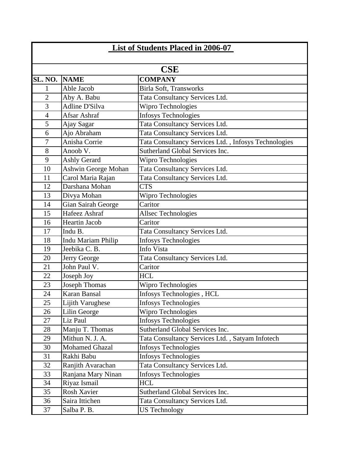|            | List of Students Placed in 2006-07 |                       |                                                      |  |  |  |
|------------|------------------------------------|-----------------------|------------------------------------------------------|--|--|--|
| <b>CSE</b> |                                    |                       |                                                      |  |  |  |
|            | SL. NO.                            | <b>NAME</b>           | <b>COMPANY</b>                                       |  |  |  |
|            | 1                                  | Able Jacob            | Birla Soft, Transworks                               |  |  |  |
|            | $\overline{2}$                     | Aby A. Babu           | Tata Consultancy Services Ltd.                       |  |  |  |
|            | $\overline{3}$                     | <b>Adline D'Silva</b> | Wipro Technologies                                   |  |  |  |
|            | $\overline{4}$                     | Afsar Ashraf          | <b>Infosys Technologies</b>                          |  |  |  |
|            | 5                                  | Ajay Sagar            | Tata Consultancy Services Ltd.                       |  |  |  |
|            | 6                                  | Ajo Abraham           | Tata Consultancy Services Ltd.                       |  |  |  |
|            | $\overline{7}$                     | Anisha Corrie         | Tata Consultancy Services Ltd., Infosys Technologies |  |  |  |
|            | 8                                  | Anoob V.              | Sutherland Global Services Inc.                      |  |  |  |
|            | 9                                  | <b>Ashly Gerard</b>   | Wipro Technologies                                   |  |  |  |
|            | 10                                 | Ashwin George Mohan   | Tata Consultancy Services Ltd.                       |  |  |  |
|            | 11                                 | Carol Maria Rajan     | Tata Consultancy Services Ltd.                       |  |  |  |
|            | 12                                 | Darshana Mohan        | <b>CTS</b>                                           |  |  |  |
|            | 13                                 | Divya Mohan           | Wipro Technologies                                   |  |  |  |
|            | 14                                 | Gian Sairah George    | Caritor                                              |  |  |  |
|            | 15                                 | Hafeez Ashraf         | <b>Allsec Technologies</b>                           |  |  |  |
|            | 16                                 | <b>Heartin Jacob</b>  | Caritor                                              |  |  |  |
|            | 17                                 | Indu B.               | Tata Consultancy Services Ltd.                       |  |  |  |
|            | 18                                 | Indu Mariam Philip    | Infosys Technologies                                 |  |  |  |
|            | 19                                 | Jeebika C. B.         | Info Vista                                           |  |  |  |
|            | 20                                 | Jerry George          | Tata Consultancy Services Ltd.                       |  |  |  |
|            | 21                                 | John Paul V.          | Caritor                                              |  |  |  |
|            | 22                                 | Joseph Joy            | <b>HCL</b>                                           |  |  |  |
|            | 23                                 | Joseph Thomas         | Wipro Technologies                                   |  |  |  |
|            | 24                                 | Karan Bansal          | Infosys Technologies, HCL                            |  |  |  |
|            | 25                                 | Lijith Varughese      | <b>Infosys Technologies</b>                          |  |  |  |
|            | 26                                 | Lilin George          | Wipro Technologies                                   |  |  |  |
|            | 27                                 | Liz Paul              | <b>Infosys Technologies</b>                          |  |  |  |
|            | 28                                 | Manju T. Thomas       | Sutherland Global Services Inc.                      |  |  |  |
|            | 29                                 | Mithun N. J. A.       | Tata Consultancy Services Ltd., Satyam Infotech      |  |  |  |
|            | 30                                 | <b>Mohamed Ghazal</b> | <b>Infosys Technologies</b>                          |  |  |  |
|            | 31                                 | Rakhi Babu            | <b>Infosys Technologies</b>                          |  |  |  |
|            | 32                                 | Ranjith Avarachan     | Tata Consultancy Services Ltd.                       |  |  |  |
|            | 33                                 | Ranjana Mary Ninan    | <b>Infosys Technologies</b>                          |  |  |  |
|            | 34                                 | Riyaz Ismail          | <b>HCL</b>                                           |  |  |  |
|            | 35                                 | Rosh Xavier           | Sutherland Global Services Inc.                      |  |  |  |
|            | 36                                 | Saira Ittichen        | Tata Consultancy Services Ltd.                       |  |  |  |
|            | 37                                 | Salba P. B.           | <b>US Technology</b>                                 |  |  |  |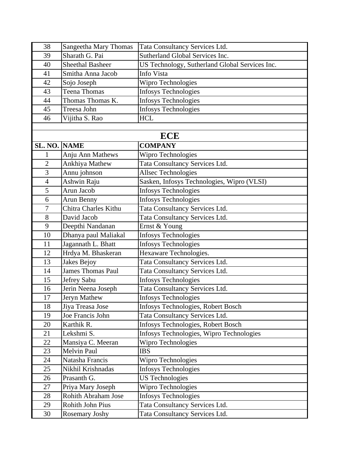| 38                       | Sangeetha Mary Thomas      | Tata Consultancy Services Ltd.                 |
|--------------------------|----------------------------|------------------------------------------------|
| 39                       | Sharath G. Pai             | Sutherland Global Services Inc.                |
| 40                       | <b>Sheethal Basheer</b>    | US Technology, Sutherland Global Services Inc. |
| 41                       | Smitha Anna Jacob          | Info Vista                                     |
| 42                       | Sojo Joseph                | Wipro Technologies                             |
| 43                       | Teena Thomas               | <b>Infosys Technologies</b>                    |
| 44                       | Thomas Thomas K.           | <b>Infosys Technologies</b>                    |
| 45                       | Treesa John                | <b>Infosys Technologies</b>                    |
| 46                       | Vijitha S. Rao             | <b>HCL</b>                                     |
|                          |                            |                                                |
|                          |                            | <b>ECE</b>                                     |
| <b>SL. NO. NAME</b>      |                            | <b>COMPANY</b>                                 |
| 1                        | Anju Ann Mathews           | Wipro Technologies                             |
| $\overline{2}$           | Ankhiya Mathew             | Tata Consultancy Services Ltd.                 |
| $\overline{3}$           | Annu johnson               | <b>Allsec Technologies</b>                     |
| $\overline{\mathcal{A}}$ | Ashwin Raju                | Sasken, Infosys Technologies, Wipro (VLSI)     |
| 5                        | Arun Jacob                 | <b>Infosys Technologies</b>                    |
| 6                        | Arun Benny                 | <b>Infosys Technologies</b>                    |
| $\tau$                   | Chitra Charles Kithu       | Tata Consultancy Services Ltd.                 |
| 8                        | David Jacob                | Tata Consultancy Services Ltd.                 |
| 9                        | Deepthi Nandanan           | Ernst & Young                                  |
| 10                       | Dhanya paul Maliakal       | <b>Infosys Technologies</b>                    |
| 11                       | Jagannath L. Bhatt         | <b>Infosys Technologies</b>                    |
| 12                       | Hrdya M. Bhaskeran         | Hexaware Technologies.                         |
| 13                       | Jakes Bejoy                | Tata Consultancy Services Ltd.                 |
| 14                       | <b>James Thomas Paul</b>   | Tata Consultancy Services Ltd.                 |
| 15                       | Jefrey Sabu                | <b>Infosys Technologies</b>                    |
| 16                       | Jerin Neena Joseph         | Tata Consultancy Services Ltd.                 |
| 17                       | Jeryn Mathew               | <b>Infosys Technologies</b>                    |
| 18                       | Jiya Treasa Jose           | Infosys Technologies, Robert Bosch             |
| 19                       | Joe Francis John           | Tata Consultancy Services Ltd.                 |
| 20                       | Karthik R.                 | Infosys Technologies, Robert Bosch             |
| 21                       | Lekshmi S.                 | Infosys Technologies, Wipro Technologies       |
| 22                       | Mansiya C. Meeran          | Wipro Technologies                             |
| 23                       | Melvin Paul                | <b>IBS</b>                                     |
| 24                       | Natasha Francis            | Wipro Technologies                             |
| 25                       | Nikhil Krishnadas          | Infosys Technologies                           |
| 26                       | Prasanth G.                | <b>US Technologies</b>                         |
| 27                       | Priya Mary Joseph          | Wipro Technologies                             |
| 28                       | <b>Rohith Abraham Jose</b> | <b>Infosys Technologies</b>                    |
| 29                       | <b>Rohith John Pius</b>    | Tata Consultancy Services Ltd.                 |
| 30                       | Rosemary Joshy             | Tata Consultancy Services Ltd.                 |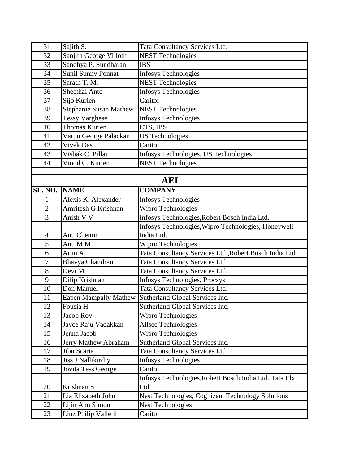| 31             | Sajith S.                    | Tata Consultancy Services Ltd.                           |
|----------------|------------------------------|----------------------------------------------------------|
| 32             | Sanjith George Villoth       | <b>NEST Technologies</b>                                 |
| 33             | Sandhya P. Sundharan         | <b>IBS</b>                                               |
| 34             | <b>Sunil Sunny Ponnat</b>    | <b>Infosys Technologies</b>                              |
| 35             | Sarath T. M.                 | <b>NEST Technologies</b>                                 |
| 36             | <b>Sheethal Anto</b>         | <b>Infosys Technologies</b>                              |
| 37             | Sijo Kurien                  | Caritor                                                  |
| 38             | Stephanie Susan Mathew       | <b>NEST Technologies</b>                                 |
| 39             | <b>Tessy Varghese</b>        | <b>Infosys Technologies</b>                              |
| 40             | <b>Thomas Kurien</b>         | CTS, IBS                                                 |
| 41             | Varun George Palackan        | <b>US Technologies</b>                                   |
| 42             | <b>Vivek Das</b>             | Caritor                                                  |
| 43             | Vishak C. Pillai             | Infosys Technologies, US Technologies                    |
| 44             | Vinod C. Kurien              | <b>NEST Technologies</b>                                 |
|                |                              |                                                          |
|                |                              | <b>AEI</b>                                               |
| SL. NO.        | <b>NAME</b>                  | <b>COMPANY</b>                                           |
| 1              | Alexis K. Alexander          | <b>Infosys Technologies</b>                              |
| $\overline{2}$ | Amritesh G Krishnan          | Wipro Technologies                                       |
| 3              | Anish V V                    | Infosys Technologies, Robert Bosch India Ltd.            |
|                |                              | Infosys Technologies, Wipro Technologies, Honeywell      |
| 4              | Anu Chettur                  | India Ltd.                                               |
| 5              | Anu M M                      | Wipro Technologies                                       |
| $\overline{6}$ | Arun A                       | Tata Consultancy Services Ltd., Robert Bosch India Ltd.  |
| $\overline{7}$ | Bhavya Chandran              | Tata Consultancy Services Ltd.                           |
| 8              | Devi M                       | Tata Consultancy Services Ltd.                           |
| 9              | Dilip Krishnan               | Infosys Technologies, Procsys                            |
| 10             | Don Manuel                   | Tata Consultancy Services Ltd.                           |
| 11             | <b>Eapen Mampally Mathew</b> | Sutherland Global Services Inc.                          |
| 12             | Fousia H                     | Sutherland Global Services Inc.                          |
| 13             | Jacob Roy                    | Wipro Technologies                                       |
| 14             | Jayce Raju Vadakkan          | Allsec Technologies                                      |
| 15             | Jenna Jacob                  | Wipro Technologies                                       |
| 16             | Jerry Mathew Abraham         | Sutherland Global Services Inc.                          |
| 17             | Jibu Scaria                  | Tata Consultancy Services Ltd.                           |
| 18             | <b>Jiss J Nallikuzhy</b>     | <b>Infosys Technologies</b>                              |
| 19             | Jovita Tess George           | Caritor                                                  |
|                |                              | Infosys Technologies, Robert Bosch India Ltd., Tata Elxi |
| 20             | Krishnan S                   | Ltd.                                                     |
| 21             | Lia Elizabeth John           | Nest Technologies, Cognizant Technology Solutions        |
| 22             | Lijin Ann Simon              | <b>Nest Technologies</b>                                 |
| 23             | Linz Philip Vallelil         | Caritor                                                  |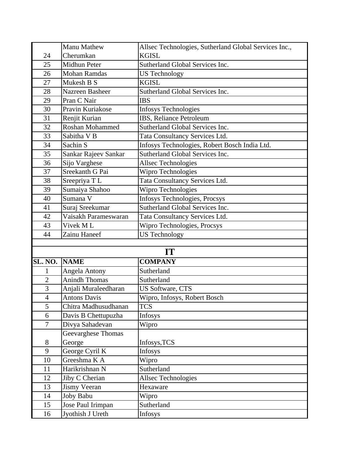|                | Manu Mathew          | Allsec Technologies, Sutherland Global Services Inc., |
|----------------|----------------------|-------------------------------------------------------|
| 24             | Cherumkan            | <b>KGISL</b>                                          |
| 25             | Midhun Peter         | Sutherland Global Services Inc.                       |
| 26             | <b>Mohan Ramdas</b>  | <b>US Technology</b>                                  |
| 27             | Mukesh B S           | <b>KGISL</b>                                          |
| 28             | Nazreen Basheer      | Sutherland Global Services Inc.                       |
| 29             | Pran C Nair          | <b>IBS</b>                                            |
| 30             | Pravin Kuriakose     | <b>Infosys Technologies</b>                           |
| 31             | Renjit Kurian        | IBS, Reliance Petroleum                               |
| 32             | Roshan Mohammed      | Sutherland Global Services Inc.                       |
| 33             | Sabitha V B          | Tata Consultancy Services Ltd.                        |
| 34             | Sachin S             | Infosys Technologies, Robert Bosch India Ltd.         |
| 35             | Sankar Rajeev Sankar | Sutherland Global Services Inc.                       |
| 36             | Sijo Varghese        | <b>Allsec Technologies</b>                            |
| 37             | Sreekanth G Pai      | Wipro Technologies                                    |
| 38             | Sreepriya TL         | Tata Consultancy Services Ltd.                        |
| 39             | Sumaiya Shahoo       | Wipro Technologies                                    |
| 40             | Sumana V             | Infosys Technologies, Procsys                         |
| 41             | Suraj Sreekumar      | Sutherland Global Services Inc.                       |
| 42             | Vaisakh Parameswaran | Tata Consultancy Services Ltd.                        |
| 43             | Vivek ML             | Wipro Technologies, Procsys                           |
| 44             | Zainu Haneef         | <b>US Technology</b>                                  |
|                |                      |                                                       |
|                |                      | IT                                                    |
| SL. NO.        | <b>NAME</b>          | <b>COMPANY</b>                                        |
| 1              | Angela Antony        | Sutherland                                            |
| $\overline{2}$ | Anindh Thomas        | Sutherland                                            |
| $\overline{3}$ | Anjali Muraleedharan | <b>US Software, CTS</b>                               |
| $\overline{4}$ | <b>Antons Davis</b>  | Wipro, Infosys, Robert Bosch                          |
| 5              | Chitra Madhusudhanan | TCS                                                   |
| 6              | Davis B Chettupuzha  | Infosys                                               |
| $\tau$         | Divya Sahadevan      | Wipro                                                 |
|                | Geevarghese Thomas   |                                                       |
| 8              | George               | Infosys, TCS                                          |
| 9              | George Cyril K       | <b>Infosys</b>                                        |
| 10             | Greeshma K A         | Wipro                                                 |
| 11             | Harikrishnan N       | Sutherland                                            |
| 12             | Jiby C Cherian       | Allsec Technologies                                   |
| 13             | <b>Jismy Veeran</b>  | Hexaware                                              |
| 14             | Joby Babu            | Wipro                                                 |
| 15             | Jose Paul Irimpan    | Sutherland                                            |
| 16             | Jyothish J Ureth     | <b>Infosys</b>                                        |